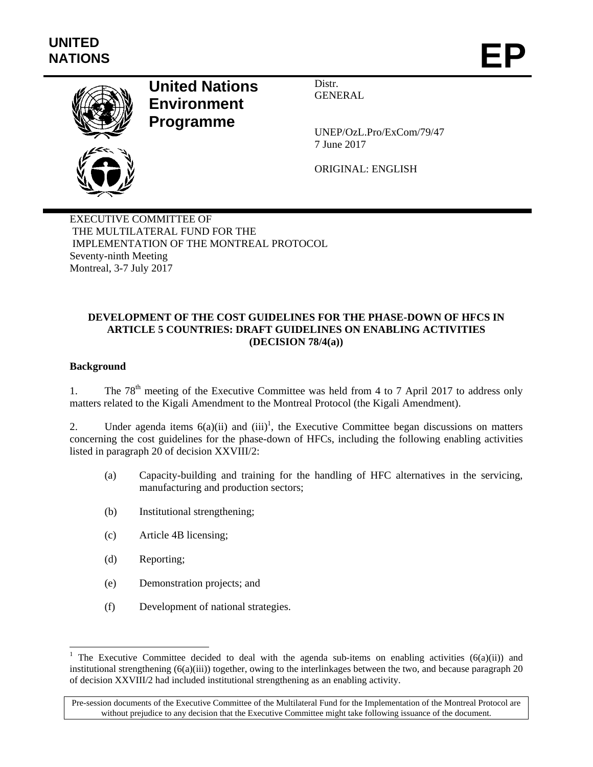

# **United Nations Environment Programme**

Distr. GENERAL

UNEP/OzL.Pro/ExCom/79/47 7 June 2017

ORIGINAL: ENGLISH

EXECUTIVE COMMITTEE OF THE MULTILATERAL FUND FOR THE IMPLEMENTATION OF THE MONTREAL PROTOCOL Seventy-ninth Meeting Montreal, 3-7 July 2017

### **DEVELOPMENT OF THE COST GUIDELINES FOR THE PHASE-DOWN OF HFCS IN ARTICLE 5 COUNTRIES: DRAFT GUIDELINES ON ENABLING ACTIVITIES (DECISION 78/4(a))**

### **Background**

l

1. The  $78<sup>th</sup>$  meeting of the Executive Committee was held from 4 to 7 April 2017 to address only matters related to the Kigali Amendment to the Montreal Protocol (the Kigali Amendment).

2. Under agenda items  $6(a)(ii)$  and  $(iii)^1$ , the Executive Committee began discussions on matters concerning the cost guidelines for the phase-down of HFCs, including the following enabling activities listed in paragraph 20 of decision XXVIII/2:

- (a) Capacity-building and training for the handling of HFC alternatives in the servicing, manufacturing and production sectors;
- (b) Institutional strengthening;
- (c) Article 4B licensing;
- (d) Reporting;
- (e) Demonstration projects; and
- (f) Development of national strategies.

<sup>&</sup>lt;sup>1</sup> The Executive Committee decided to deal with the agenda sub-items on enabling activities (6(a)(ii)) and institutional strengthening  $(6(a)(iii))$  together, owing to the interlinkages between the two, and because paragraph 20 of decision XXVIII/2 had included institutional strengthening as an enabling activity.

Pre-session documents of the Executive Committee of the Multilateral Fund for the Implementation of the Montreal Protocol are without prejudice to any decision that the Executive Committee might take following issuance of the document.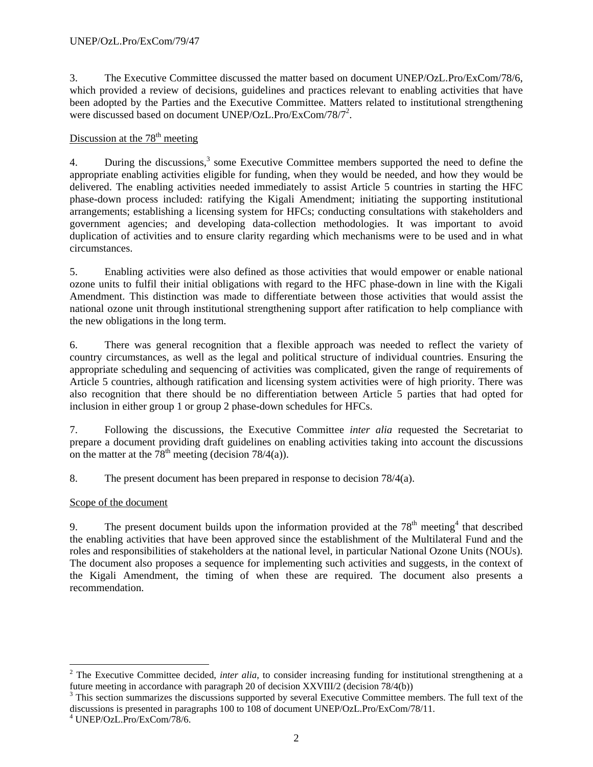3. The Executive Committee discussed the matter based on document UNEP/OzL.Pro/ExCom/78/6, which provided a review of decisions, guidelines and practices relevant to enabling activities that have been adopted by the Parties and the Executive Committee. Matters related to institutional strengthening were discussed based on document UNEP/OzL.Pro/ExCom/78/7<sup>2</sup>.

### Discussion at the  $78<sup>th</sup>$  meeting

4. During the discussions,<sup>3</sup> some Executive Committee members supported the need to define the appropriate enabling activities eligible for funding, when they would be needed, and how they would be delivered. The enabling activities needed immediately to assist Article 5 countries in starting the HFC phase-down process included: ratifying the Kigali Amendment; initiating the supporting institutional arrangements; establishing a licensing system for HFCs; conducting consultations with stakeholders and government agencies; and developing data-collection methodologies. It was important to avoid duplication of activities and to ensure clarity regarding which mechanisms were to be used and in what circumstances.

5. Enabling activities were also defined as those activities that would empower or enable national ozone units to fulfil their initial obligations with regard to the HFC phase-down in line with the Kigali Amendment. This distinction was made to differentiate between those activities that would assist the national ozone unit through institutional strengthening support after ratification to help compliance with the new obligations in the long term.

6. There was general recognition that a flexible approach was needed to reflect the variety of country circumstances, as well as the legal and political structure of individual countries. Ensuring the appropriate scheduling and sequencing of activities was complicated, given the range of requirements of Article 5 countries, although ratification and licensing system activities were of high priority. There was also recognition that there should be no differentiation between Article 5 parties that had opted for inclusion in either group 1 or group 2 phase-down schedules for HFCs.

7. Following the discussions, the Executive Committee *inter alia* requested the Secretariat to prepare a document providing draft guidelines on enabling activities taking into account the discussions on the matter at the  $78<sup>th</sup>$  meeting (decision 78/4(a)).

8. The present document has been prepared in response to decision 78/4(a).

## Scope of the document

9. The present document builds upon the information provided at the  $78<sup>th</sup>$  meeting<sup>4</sup> that described the enabling activities that have been approved since the establishment of the Multilateral Fund and the roles and responsibilities of stakeholders at the national level, in particular National Ozone Units (NOUs). The document also proposes a sequence for implementing such activities and suggests, in the context of the Kigali Amendment, the timing of when these are required. The document also presents a recommendation.

<sup>&</sup>lt;sup>2</sup> The Executive Committee decided, *inter alia*, to consider increasing funding for institutional strengthening at a future meeting in accordance with paragraph 20 of decision XXVIII/2 (decision 78/4(b)) 3

<sup>&</sup>lt;sup>3</sup> This section summarizes the discussions supported by several Executive Committee members. The full text of the discussions is presented in paragraphs 100 to 108 of document UNEP/OzL.Pro/ExCom/78/11.

<sup>4</sup> UNEP/OzL.Pro/ExCom/78/6.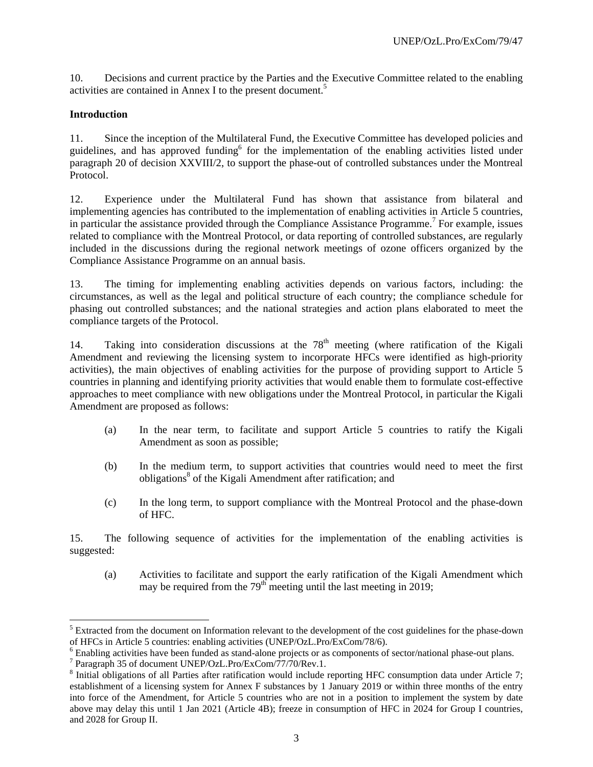10. Decisions and current practice by the Parties and the Executive Committee related to the enabling activities are contained in Annex I to the present document.<sup>5</sup>

### **Introduction**

l

11. Since the inception of the Multilateral Fund, the Executive Committee has developed policies and guidelines, and has approved funding<sup>6</sup> for the implementation of the enabling activities listed under paragraph 20 of decision XXVIII/2, to support the phase-out of controlled substances under the Montreal Protocol.

12. Experience under the Multilateral Fund has shown that assistance from bilateral and implementing agencies has contributed to the implementation of enabling activities in Article 5 countries, in particular the assistance provided through the Compliance Assistance Programme.<sup>7</sup> For example, issues related to compliance with the Montreal Protocol, or data reporting of controlled substances, are regularly included in the discussions during the regional network meetings of ozone officers organized by the Compliance Assistance Programme on an annual basis.

13. The timing for implementing enabling activities depends on various factors, including: the circumstances, as well as the legal and political structure of each country; the compliance schedule for phasing out controlled substances; and the national strategies and action plans elaborated to meet the compliance targets of the Protocol.

14. Taking into consideration discussions at the  $78<sup>th</sup>$  meeting (where ratification of the Kigali Amendment and reviewing the licensing system to incorporate HFCs were identified as high-priority activities), the main objectives of enabling activities for the purpose of providing support to Article 5 countries in planning and identifying priority activities that would enable them to formulate cost-effective approaches to meet compliance with new obligations under the Montreal Protocol, in particular the Kigali Amendment are proposed as follows:

- (a) In the near term, to facilitate and support Article 5 countries to ratify the Kigali Amendment as soon as possible;
- (b) In the medium term, to support activities that countries would need to meet the first obligations<sup>8</sup> of the Kigali Amendment after ratification; and
- (c) In the long term, to support compliance with the Montreal Protocol and the phase-down of HFC.

15. The following sequence of activities for the implementation of the enabling activities is suggested:

(a) Activities to facilitate and support the early ratification of the Kigali Amendment which may be required from the  $79<sup>th</sup>$  meeting until the last meeting in 2019;

 $<sup>5</sup>$  Extracted from the document on Information relevant to the development of the cost guidelines for the phase-down</sup> of HFCs in Article 5 countries: enabling activities (UNEP/OzL.Pro/ExCom/78/6). 6

<sup>&</sup>lt;sup>6</sup> Enabling activities have been funded as stand-alone projects or as components of sector/national phase-out plans.

Paragraph 35 of document UNEP/OzL.Pro/ExCom/77/70/Rev.1.

 $8$  Initial obligations of all Parties after ratification would include reporting HFC consumption data under Article 7; establishment of a licensing system for Annex F substances by 1 January 2019 or within three months of the entry into force of the Amendment, for Article 5 countries who are not in a position to implement the system by date above may delay this until 1 Jan 2021 (Article 4B); freeze in consumption of HFC in 2024 for Group I countries, and 2028 for Group II.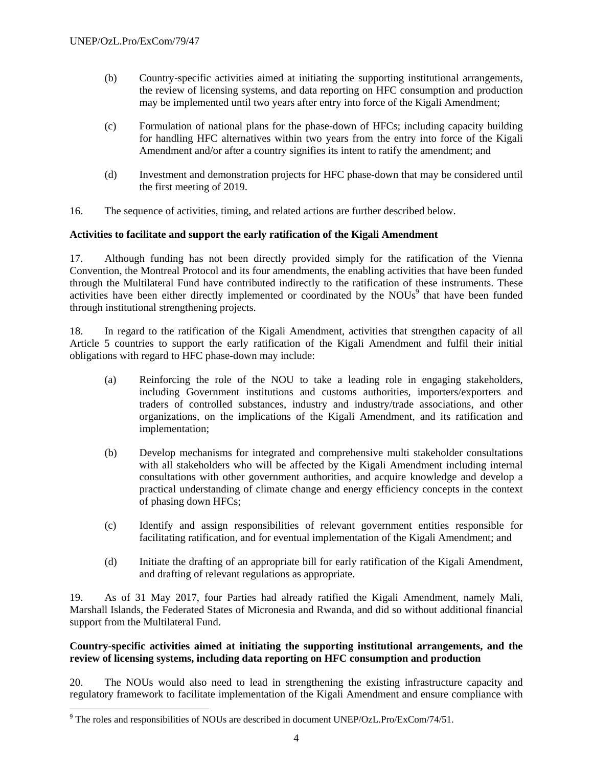- (b) Country-specific activities aimed at initiating the supporting institutional arrangements, the review of licensing systems, and data reporting on HFC consumption and production may be implemented until two years after entry into force of the Kigali Amendment;
- (c) Formulation of national plans for the phase-down of HFCs; including capacity building for handling HFC alternatives within two years from the entry into force of the Kigali Amendment and/or after a country signifies its intent to ratify the amendment; and
- (d) Investment and demonstration projects for HFC phase-down that may be considered until the first meeting of 2019.
- 16. The sequence of activities, timing, and related actions are further described below.

### **Activities to facilitate and support the early ratification of the Kigali Amendment**

17. Although funding has not been directly provided simply for the ratification of the Vienna Convention, the Montreal Protocol and its four amendments, the enabling activities that have been funded through the Multilateral Fund have contributed indirectly to the ratification of these instruments. These activities have been either directly implemented or coordinated by the NOUs<sup>9</sup> that have been funded through institutional strengthening projects.

18. In regard to the ratification of the Kigali Amendment, activities that strengthen capacity of all Article 5 countries to support the early ratification of the Kigali Amendment and fulfil their initial obligations with regard to HFC phase-down may include:

- (a) Reinforcing the role of the NOU to take a leading role in engaging stakeholders, including Government institutions and customs authorities, importers/exporters and traders of controlled substances, industry and industry/trade associations, and other organizations, on the implications of the Kigali Amendment, and its ratification and implementation;
- (b) Develop mechanisms for integrated and comprehensive multi stakeholder consultations with all stakeholders who will be affected by the Kigali Amendment including internal consultations with other government authorities, and acquire knowledge and develop a practical understanding of climate change and energy efficiency concepts in the context of phasing down HFCs;
- (c) Identify and assign responsibilities of relevant government entities responsible for facilitating ratification, and for eventual implementation of the Kigali Amendment; and
- (d) Initiate the drafting of an appropriate bill for early ratification of the Kigali Amendment, and drafting of relevant regulations as appropriate.

19. As of 31 May 2017, four Parties had already ratified the Kigali Amendment, namely Mali, Marshall Islands, the Federated States of Micronesia and Rwanda, and did so without additional financial support from the Multilateral Fund.

#### **Country-specific activities aimed at initiating the supporting institutional arrangements, and the review of licensing systems, including data reporting on HFC consumption and production**

20. The NOUs would also need to lead in strengthening the existing infrastructure capacity and regulatory framework to facilitate implementation of the Kigali Amendment and ensure compliance with

The roles and responsibilities of NOUs are described in document UNEP/OzL.Pro/ExCom/74/51.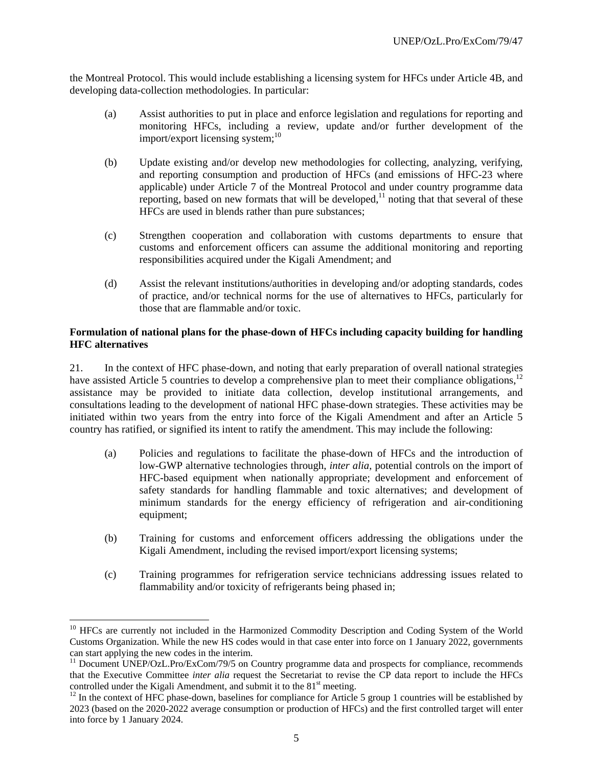the Montreal Protocol. This would include establishing a licensing system for HFCs under Article 4B, and developing data-collection methodologies. In particular:

- (a) Assist authorities to put in place and enforce legislation and regulations for reporting and monitoring HFCs, including a review, update and/or further development of the import/export licensing system;<sup>10</sup>
- (b) Update existing and/or develop new methodologies for collecting, analyzing, verifying, and reporting consumption and production of HFCs (and emissions of HFC-23 where applicable) under Article 7 of the Montreal Protocol and under country programme data reporting, based on new formats that will be developed, $11$  noting that that several of these HFCs are used in blends rather than pure substances;
- (c) Strengthen cooperation and collaboration with customs departments to ensure that customs and enforcement officers can assume the additional monitoring and reporting responsibilities acquired under the Kigali Amendment; and
- (d) Assist the relevant institutions/authorities in developing and/or adopting standards, codes of practice, and/or technical norms for the use of alternatives to HFCs, particularly for those that are flammable and/or toxic.

#### **Formulation of national plans for the phase-down of HFCs including capacity building for handling HFC alternatives**

21. In the context of HFC phase-down, and noting that early preparation of overall national strategies have assisted Article 5 countries to develop a comprehensive plan to meet their compliance obligations,<sup>12</sup> assistance may be provided to initiate data collection, develop institutional arrangements, and consultations leading to the development of national HFC phase-down strategies. These activities may be initiated within two years from the entry into force of the Kigali Amendment and after an Article 5 country has ratified, or signified its intent to ratify the amendment. This may include the following:

- (a) Policies and regulations to facilitate the phase-down of HFCs and the introduction of low-GWP alternative technologies through, *inter alia*, potential controls on the import of HFC-based equipment when nationally appropriate; development and enforcement of safety standards for handling flammable and toxic alternatives; and development of minimum standards for the energy efficiency of refrigeration and air-conditioning equipment;
- (b) Training for customs and enforcement officers addressing the obligations under the Kigali Amendment, including the revised import/export licensing systems;
- (c) Training programmes for refrigeration service technicians addressing issues related to flammability and/or toxicity of refrigerants being phased in;

1

<sup>&</sup>lt;sup>10</sup> HFCs are currently not included in the Harmonized Commodity Description and Coding System of the World Customs Organization. While the new HS codes would in that case enter into force on 1 January 2022, governments can start applying the new codes in the interim.

<sup>&</sup>lt;sup>11</sup> Document UNEP/OzL.Pro/ExCom/79/5 on Country programme data and prospects for compliance, recommends that the Executive Committee *inter alia* request the Secretariat to revise the CP data report to include the HFCs controlled under the Kigali Amendment, and submit it to the  $81<sup>st</sup>$  meeting.<br><sup>12</sup> In the context of HFC phase-down, baselines for compliance for Article 5 group 1 countries will be established by

<sup>2023 (</sup>based on the 2020-2022 average consumption or production of HFCs) and the first controlled target will enter into force by 1 January 2024.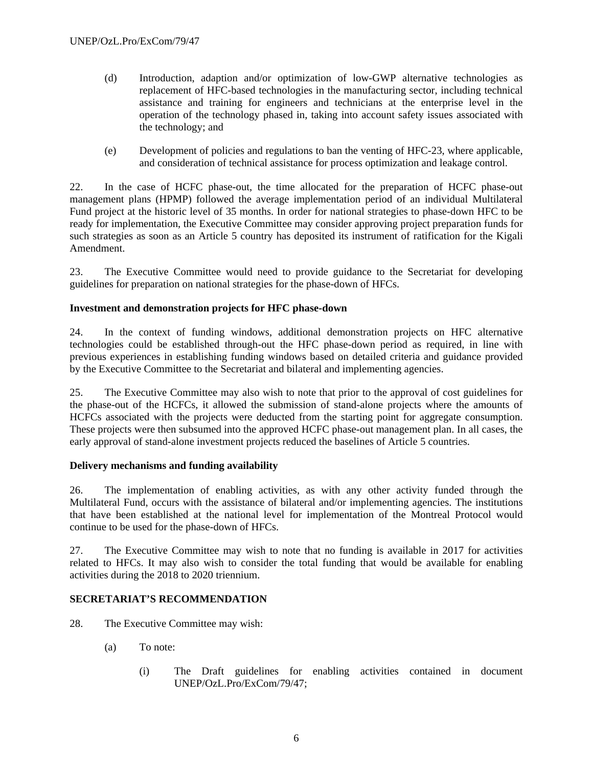- (d) Introduction, adaption and/or optimization of low-GWP alternative technologies as replacement of HFC-based technologies in the manufacturing sector, including technical assistance and training for engineers and technicians at the enterprise level in the operation of the technology phased in, taking into account safety issues associated with the technology; and
- (e) Development of policies and regulations to ban the venting of HFC-23, where applicable, and consideration of technical assistance for process optimization and leakage control.

22. In the case of HCFC phase-out, the time allocated for the preparation of HCFC phase-out management plans (HPMP) followed the average implementation period of an individual Multilateral Fund project at the historic level of 35 months. In order for national strategies to phase-down HFC to be ready for implementation, the Executive Committee may consider approving project preparation funds for such strategies as soon as an Article 5 country has deposited its instrument of ratification for the Kigali Amendment.

23. The Executive Committee would need to provide guidance to the Secretariat for developing guidelines for preparation on national strategies for the phase-down of HFCs.

### **Investment and demonstration projects for HFC phase-down**

24. In the context of funding windows, additional demonstration projects on HFC alternative technologies could be established through-out the HFC phase-down period as required, in line with previous experiences in establishing funding windows based on detailed criteria and guidance provided by the Executive Committee to the Secretariat and bilateral and implementing agencies.

25. The Executive Committee may also wish to note that prior to the approval of cost guidelines for the phase-out of the HCFCs, it allowed the submission of stand-alone projects where the amounts of HCFCs associated with the projects were deducted from the starting point for aggregate consumption. These projects were then subsumed into the approved HCFC phase-out management plan. In all cases, the early approval of stand-alone investment projects reduced the baselines of Article 5 countries.

#### **Delivery mechanisms and funding availability**

26. The implementation of enabling activities, as with any other activity funded through the Multilateral Fund, occurs with the assistance of bilateral and/or implementing agencies. The institutions that have been established at the national level for implementation of the Montreal Protocol would continue to be used for the phase-down of HFCs.

27. The Executive Committee may wish to note that no funding is available in 2017 for activities related to HFCs. It may also wish to consider the total funding that would be available for enabling activities during the 2018 to 2020 triennium.

## **SECRETARIAT'S RECOMMENDATION**

28. The Executive Committee may wish:

- (a) To note:
	- (i) The Draft guidelines for enabling activities contained in document UNEP/OzL.Pro/ExCom/79/47;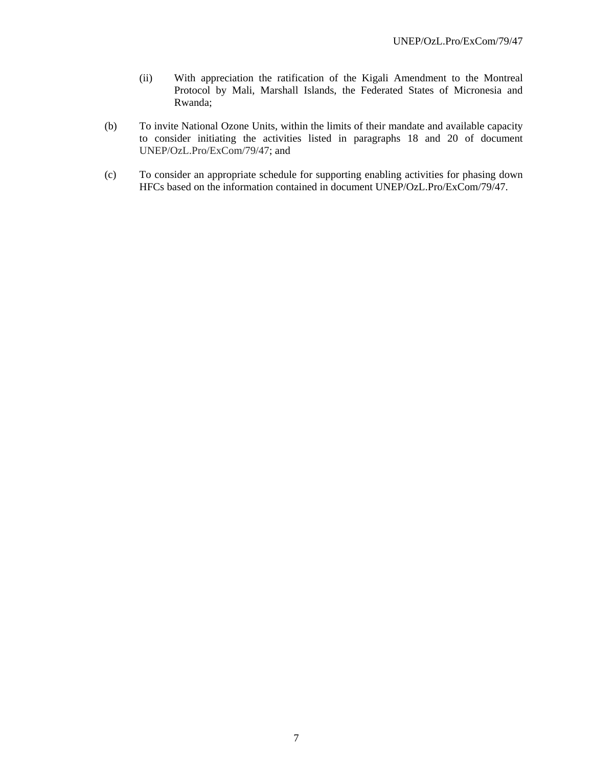- (ii) With appreciation the ratification of the Kigali Amendment to the Montreal Protocol by Mali, Marshall Islands, the Federated States of Micronesia and Rwanda;
- (b) To invite National Ozone Units, within the limits of their mandate and available capacity to consider initiating the activities listed in paragraphs 18 and 20 of document UNEP/OzL.Pro/ExCom/79/47; and
- (c) To consider an appropriate schedule for supporting enabling activities for phasing down HFCs based on the information contained in document UNEP/OzL.Pro/ExCom/79/47.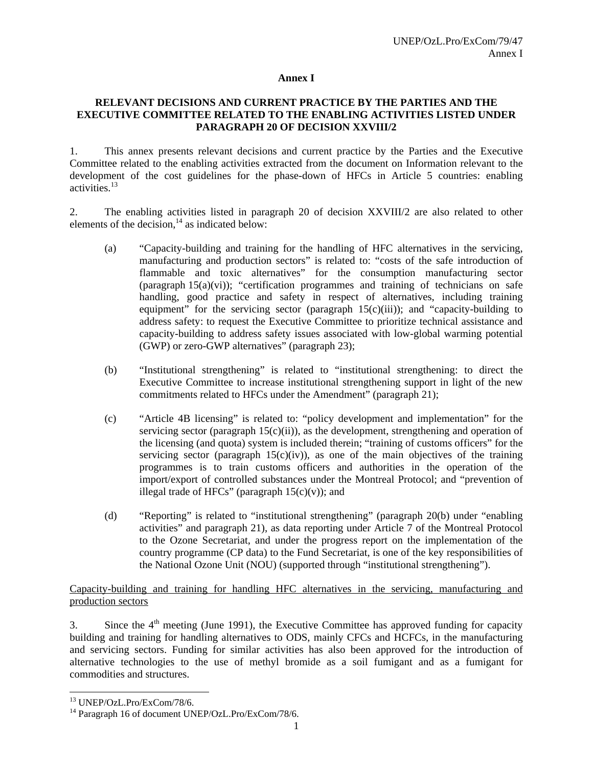#### **Annex I**

#### **RELEVANT DECISIONS AND CURRENT PRACTICE BY THE PARTIES AND THE EXECUTIVE COMMITTEE RELATED TO THE ENABLING ACTIVITIES LISTED UNDER PARAGRAPH 20 OF DECISION XXVIII/2**

1. This annex presents relevant decisions and current practice by the Parties and the Executive Committee related to the enabling activities extracted from the document on Information relevant to the development of the cost guidelines for the phase-down of HFCs in Article 5 countries: enabling activities.13

2. The enabling activities listed in paragraph 20 of decision XXVIII/2 are also related to other elements of the decision, $14$  as indicated below:

- (a) "Capacity-building and training for the handling of HFC alternatives in the servicing, manufacturing and production sectors" is related to: "costs of the safe introduction of flammable and toxic alternatives" for the consumption manufacturing sector (paragraph  $15(a)(vi)$ ); "certification programmes and training of technicians on safe handling, good practice and safety in respect of alternatives, including training equipment" for the servicing sector (paragraph  $15(c)(iii)$ ); and "capacity-building to address safety: to request the Executive Committee to prioritize technical assistance and capacity-building to address safety issues associated with low-global warming potential (GWP) or zero-GWP alternatives" (paragraph 23);
- (b) "Institutional strengthening" is related to "institutional strengthening: to direct the Executive Committee to increase institutional strengthening support in light of the new commitments related to HFCs under the Amendment" (paragraph 21);
- (c) "Article 4B licensing" is related to: "policy development and implementation" for the servicing sector (paragraph  $15(c)(ii)$ ), as the development, strengthening and operation of the licensing (and quota) system is included therein; "training of customs officers" for the servicing sector (paragraph  $15(c)(iv)$ ), as one of the main objectives of the training programmes is to train customs officers and authorities in the operation of the import/export of controlled substances under the Montreal Protocol; and "prevention of illegal trade of HFCs" (paragraph  $15(c)(v)$ ); and
- (d) "Reporting" is related to "institutional strengthening" (paragraph 20(b) under "enabling activities" and paragraph 21), as data reporting under Article 7 of the Montreal Protocol to the Ozone Secretariat, and under the progress report on the implementation of the country programme (CP data) to the Fund Secretariat, is one of the key responsibilities of the National Ozone Unit (NOU) (supported through "institutional strengthening").

#### Capacity-building and training for handling HFC alternatives in the servicing, manufacturing and production sectors

3. Since the  $4<sup>th</sup>$  meeting (June 1991), the Executive Committee has approved funding for capacity building and training for handling alternatives to ODS, mainly CFCs and HCFCs, in the manufacturing and servicing sectors. Funding for similar activities has also been approved for the introduction of alternative technologies to the use of methyl bromide as a soil fumigant and as a fumigant for commodities and structures.

1

<sup>13</sup> UNEP/OzL.Pro/ExCom/78/6.

<sup>&</sup>lt;sup>14</sup> Paragraph 16 of document UNEP/OzL.Pro/ExCom/78/6.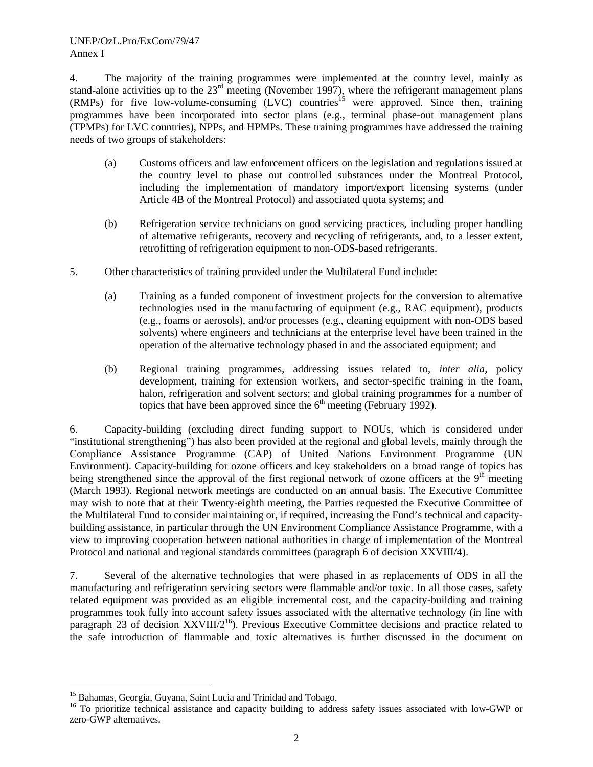4. The majority of the training programmes were implemented at the country level, mainly as stand-alone activities up to the 23<sup>rd</sup> meeting (November 1997), where the refrigerant management plans  $(RMPs)$  for five low-volume-consuming  $(LVC)$  countries<sup>15</sup> were approved. Since then, training programmes have been incorporated into sector plans (e.g., terminal phase-out management plans (TPMPs) for LVC countries), NPPs, and HPMPs. These training programmes have addressed the training needs of two groups of stakeholders:

- (a) Customs officers and law enforcement officers on the legislation and regulations issued at the country level to phase out controlled substances under the Montreal Protocol, including the implementation of mandatory import/export licensing systems (under Article 4B of the Montreal Protocol) and associated quota systems; and
- (b) Refrigeration service technicians on good servicing practices, including proper handling of alternative refrigerants, recovery and recycling of refrigerants, and, to a lesser extent, retrofitting of refrigeration equipment to non-ODS-based refrigerants.
- 5. Other characteristics of training provided under the Multilateral Fund include:
	- (a) Training as a funded component of investment projects for the conversion to alternative technologies used in the manufacturing of equipment (e.g., RAC equipment), products (e.g., foams or aerosols), and/or processes (e.g., cleaning equipment with non-ODS based solvents) where engineers and technicians at the enterprise level have been trained in the operation of the alternative technology phased in and the associated equipment; and
	- (b) Regional training programmes, addressing issues related to, *inter alia,* policy development, training for extension workers, and sector-specific training in the foam, halon, refrigeration and solvent sectors; and global training programmes for a number of topics that have been approved since the  $6<sup>th</sup>$  meeting (February 1992).

6. Capacity-building (excluding direct funding support to NOUs, which is considered under "institutional strengthening") has also been provided at the regional and global levels, mainly through the Compliance Assistance Programme (CAP) of United Nations Environment Programme (UN Environment). Capacity-building for ozone officers and key stakeholders on a broad range of topics has being strengthened since the approval of the first regional network of ozone officers at the 9<sup>th</sup> meeting (March 1993). Regional network meetings are conducted on an annual basis. The Executive Committee may wish to note that at their Twenty-eighth meeting, the Parties requested the Executive Committee of the Multilateral Fund to consider maintaining or, if required, increasing the Fund's technical and capacitybuilding assistance, in particular through the UN Environment Compliance Assistance Programme, with a view to improving cooperation between national authorities in charge of implementation of the Montreal Protocol and national and regional standards committees (paragraph 6 of decision XXVIII/4).

7. Several of the alternative technologies that were phased in as replacements of ODS in all the manufacturing and refrigeration servicing sectors were flammable and/or toxic. In all those cases, safety related equipment was provided as an eligible incremental cost, and the capacity-building and training programmes took fully into account safety issues associated with the alternative technology (in line with paragraph 23 of decision  $XXVIII/2^{16}$ ). Previous Executive Committee decisions and practice related to the safe introduction of flammable and toxic alternatives is further discussed in the document on

1

<sup>&</sup>lt;sup>15</sup> Bahamas, Georgia, Guyana, Saint Lucia and Trinidad and Tobago.

<sup>&</sup>lt;sup>16</sup> To prioritize technical assistance and capacity building to address safety issues associated with low-GWP or zero-GWP alternatives.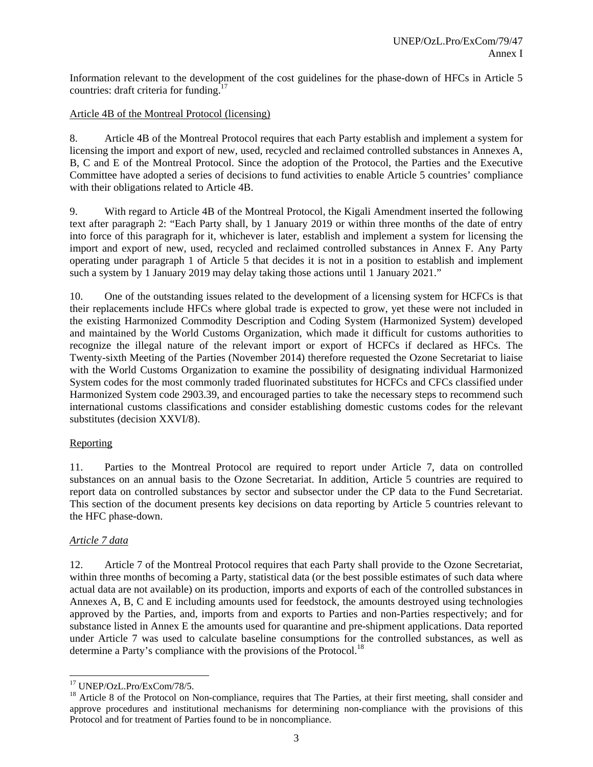Information relevant to the development of the cost guidelines for the phase-down of HFCs in Article 5 countries: draft criteria for funding.17

#### Article 4B of the Montreal Protocol (licensing)

8. Article 4B of the Montreal Protocol requires that each Party establish and implement a system for licensing the import and export of new, used, recycled and reclaimed controlled substances in Annexes A, B, C and E of the Montreal Protocol. Since the adoption of the Protocol, the Parties and the Executive Committee have adopted a series of decisions to fund activities to enable Article 5 countries' compliance with their obligations related to Article 4B.

9. With regard to Article 4B of the Montreal Protocol, the Kigali Amendment inserted the following text after paragraph 2: "Each Party shall, by 1 January 2019 or within three months of the date of entry into force of this paragraph for it, whichever is later, establish and implement a system for licensing the import and export of new, used, recycled and reclaimed controlled substances in Annex F. Any Party operating under paragraph 1 of Article 5 that decides it is not in a position to establish and implement such a system by 1 January 2019 may delay taking those actions until 1 January 2021."

10. One of the outstanding issues related to the development of a licensing system for HCFCs is that their replacements include HFCs where global trade is expected to grow, yet these were not included in the existing Harmonized Commodity Description and Coding System (Harmonized System) developed and maintained by the World Customs Organization, which made it difficult for customs authorities to recognize the illegal nature of the relevant import or export of HCFCs if declared as HFCs. The Twenty-sixth Meeting of the Parties (November 2014) therefore requested the Ozone Secretariat to liaise with the World Customs Organization to examine the possibility of designating individual Harmonized System codes for the most commonly traded fluorinated substitutes for HCFCs and CFCs classified under Harmonized System code 2903.39, and encouraged parties to take the necessary steps to recommend such international customs classifications and consider establishing domestic customs codes for the relevant substitutes (decision XXVI/8).

#### Reporting

11. Parties to the Montreal Protocol are required to report under Article 7, data on controlled substances on an annual basis to the Ozone Secretariat. In addition, Article 5 countries are required to report data on controlled substances by sector and subsector under the CP data to the Fund Secretariat. This section of the document presents key decisions on data reporting by Article 5 countries relevant to the HFC phase-down.

## *Article 7 data*

12. Article 7 of the Montreal Protocol requires that each Party shall provide to the Ozone Secretariat, within three months of becoming a Party, statistical data (or the best possible estimates of such data where actual data are not available) on its production, imports and exports of each of the controlled substances in Annexes A, B, C and E including amounts used for feedstock, the amounts destroyed using technologies approved by the Parties, and, imports from and exports to Parties and non-Parties respectively; and for substance listed in Annex E the amounts used for quarantine and pre-shipment applications. Data reported under Article 7 was used to calculate baseline consumptions for the controlled substances, as well as determine a Party's compliance with the provisions of the Protocol.<sup>18</sup>

<sup>-</sup>17 UNEP/OzL.Pro/ExCom/78/5.

<sup>&</sup>lt;sup>18</sup> Article 8 of the Protocol on Non-compliance, requires that The Parties, at their first meeting, shall consider and approve procedures and institutional mechanisms for determining non-compliance with the provisions of this Protocol and for treatment of Parties found to be in noncompliance.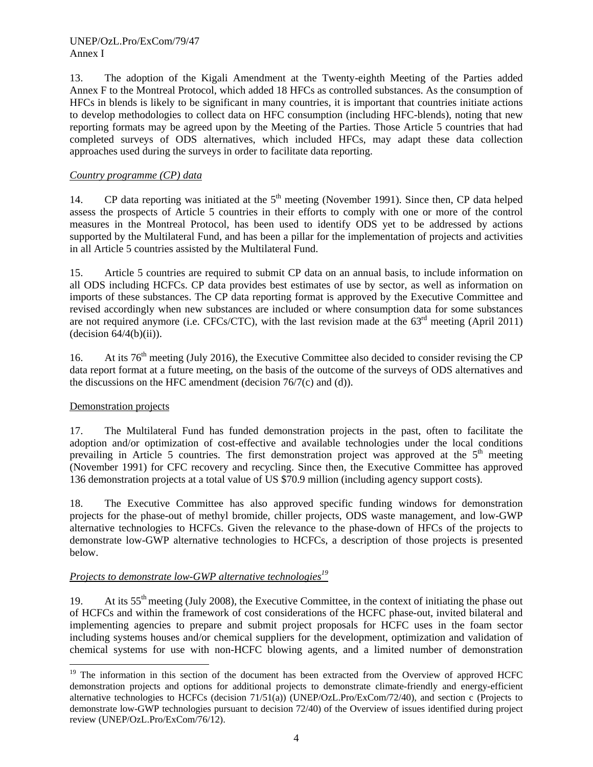13. The adoption of the Kigali Amendment at the Twenty-eighth Meeting of the Parties added Annex F to the Montreal Protocol, which added 18 HFCs as controlled substances. As the consumption of HFCs in blends is likely to be significant in many countries, it is important that countries initiate actions to develop methodologies to collect data on HFC consumption (including HFC-blends), noting that new reporting formats may be agreed upon by the Meeting of the Parties. Those Article 5 countries that had completed surveys of ODS alternatives, which included HFCs, may adapt these data collection approaches used during the surveys in order to facilitate data reporting.

### *Country programme (CP) data*

14. CP data reporting was initiated at the  $5<sup>th</sup>$  meeting (November 1991). Since then, CP data helped assess the prospects of Article 5 countries in their efforts to comply with one or more of the control measures in the Montreal Protocol, has been used to identify ODS yet to be addressed by actions supported by the Multilateral Fund, and has been a pillar for the implementation of projects and activities in all Article 5 countries assisted by the Multilateral Fund.

15. Article 5 countries are required to submit CP data on an annual basis, to include information on all ODS including HCFCs. CP data provides best estimates of use by sector, as well as information on imports of these substances. The CP data reporting format is approved by the Executive Committee and revised accordingly when new substances are included or where consumption data for some substances are not required anymore (i.e. CFCs/CTC), with the last revision made at the  $63<sup>rd</sup>$  meeting (April 2011)  $-decision 64/4(b)(ii)).$ 

16. At its 76<sup>th</sup> meeting (July 2016), the Executive Committee also decided to consider revising the CP data report format at a future meeting, on the basis of the outcome of the surveys of ODS alternatives and the discussions on the HFC amendment (decision  $76/7(c)$  and (d)).

#### Demonstration projects

l

17. The Multilateral Fund has funded demonstration projects in the past, often to facilitate the adoption and/or optimization of cost-effective and available technologies under the local conditions prevailing in Article 5 countries. The first demonstration project was approved at the  $5<sup>th</sup>$  meeting (November 1991) for CFC recovery and recycling. Since then, the Executive Committee has approved 136 demonstration projects at a total value of US \$70.9 million (including agency support costs).

18. The Executive Committee has also approved specific funding windows for demonstration projects for the phase-out of methyl bromide, chiller projects, ODS waste management, and low-GWP alternative technologies to HCFCs. Given the relevance to the phase-down of HFCs of the projects to demonstrate low-GWP alternative technologies to HCFCs, a description of those projects is presented below.

## *Projects to demonstrate low-GWP alternative technologies<sup>19</sup>*

19. At its 55<sup>th</sup> meeting (July 2008), the Executive Committee, in the context of initiating the phase out of HCFCs and within the framework of cost considerations of the HCFC phase-out, invited bilateral and implementing agencies to prepare and submit project proposals for HCFC uses in the foam sector including systems houses and/or chemical suppliers for the development, optimization and validation of chemical systems for use with non-HCFC blowing agents, and a limited number of demonstration

<sup>&</sup>lt;sup>19</sup> The information in this section of the document has been extracted from the Overview of approved HCFC demonstration projects and options for additional projects to demonstrate climate-friendly and energy-efficient alternative technologies to HCFCs (decision 71/51(a)) (UNEP/OzL.Pro/ExCom/72/40), and section c (Projects to demonstrate low-GWP technologies pursuant to decision 72/40) of the Overview of issues identified during project review (UNEP/OzL.Pro/ExCom/76/12).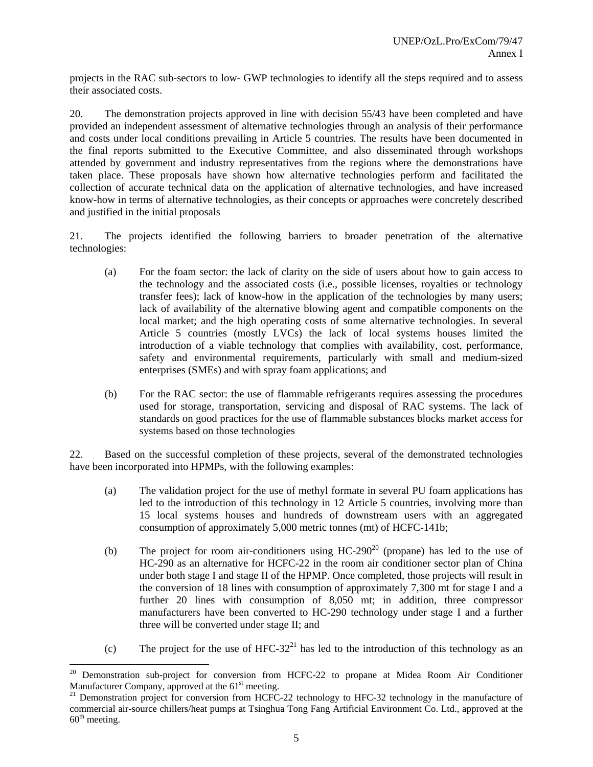projects in the RAC sub-sectors to low- GWP technologies to identify all the steps required and to assess their associated costs.

20. The demonstration projects approved in line with decision 55/43 have been completed and have provided an independent assessment of alternative technologies through an analysis of their performance and costs under local conditions prevailing in Article 5 countries. The results have been documented in the final reports submitted to the Executive Committee, and also disseminated through workshops attended by government and industry representatives from the regions where the demonstrations have taken place. These proposals have shown how alternative technologies perform and facilitated the collection of accurate technical data on the application of alternative technologies, and have increased know-how in terms of alternative technologies, as their concepts or approaches were concretely described and justified in the initial proposals

21. The projects identified the following barriers to broader penetration of the alternative technologies:

- (a) For the foam sector: the lack of clarity on the side of users about how to gain access to the technology and the associated costs (i.e., possible licenses, royalties or technology transfer fees); lack of know-how in the application of the technologies by many users; lack of availability of the alternative blowing agent and compatible components on the local market; and the high operating costs of some alternative technologies. In several Article 5 countries (mostly LVCs) the lack of local systems houses limited the introduction of a viable technology that complies with availability, cost, performance, safety and environmental requirements, particularly with small and medium-sized enterprises (SMEs) and with spray foam applications; and
- (b) For the RAC sector: the use of flammable refrigerants requires assessing the procedures used for storage, transportation, servicing and disposal of RAC systems. The lack of standards on good practices for the use of flammable substances blocks market access for systems based on those technologies

22. Based on the successful completion of these projects, several of the demonstrated technologies have been incorporated into HPMPs, with the following examples:

- (a) The validation project for the use of methyl formate in several PU foam applications has led to the introduction of this technology in 12 Article 5 countries, involving more than 15 local systems houses and hundreds of downstream users with an aggregated consumption of approximately 5,000 metric tonnes (mt) of HCFC-141b;
- (b) The project for room air-conditioners using  $HC-290^{20}$  (propane) has led to the use of HC-290 as an alternative for HCFC-22 in the room air conditioner sector plan of China under both stage I and stage II of the HPMP. Once completed, those projects will result in the conversion of 18 lines with consumption of approximately 7,300 mt for stage I and a further 20 lines with consumption of 8,050 mt; in addition, three compressor manufacturers have been converted to HC-290 technology under stage I and a further three will be converted under stage II; and
- (c) The project for the use of HFC-32<sup>21</sup> has led to the introduction of this technology as an

<sup>&</sup>lt;sup>20</sup> Demonstration sub-project for conversion from HCFC-22 to propane at Midea Room Air Conditioner Manufacturer Company, approved at the  $61<sup>st</sup>$  meeting.<br><sup>21</sup> Demonstration project for conversion from HCFC-22 technology to HFC-32 technology in the manufacture of

commercial air-source chillers/heat pumps at Tsinghua Tong Fang Artificial Environment Co. Ltd., approved at the  $60<sup>th</sup> meeting.$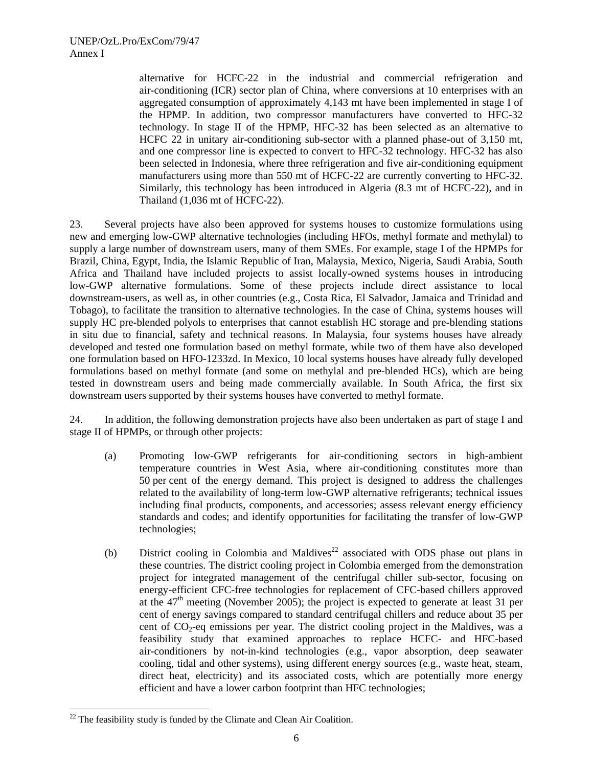alternative for HCFC-22 in the industrial and commercial refrigeration and air-conditioning (ICR) sector plan of China, where conversions at 10 enterprises with an aggregated consumption of approximately 4,143 mt have been implemented in stage I of the HPMP. In addition, two compressor manufacturers have converted to HFC-32 technology. In stage II of the HPMP, HFC-32 has been selected as an alternative to HCFC 22 in unitary air-conditioning sub-sector with a planned phase-out of 3,150 mt, and one compressor line is expected to convert to HFC-32 technology. HFC-32 has also been selected in Indonesia, where three refrigeration and five air-conditioning equipment manufacturers using more than 550 mt of HCFC-22 are currently converting to HFC-32. Similarly, this technology has been introduced in Algeria (8.3 mt of HCFC-22), and in Thailand (1,036 mt of HCFC-22).

23. Several projects have also been approved for systems houses to customize formulations using new and emerging low-GWP alternative technologies (including HFOs, methyl formate and methylal) to supply a large number of downstream users, many of them SMEs. For example, stage I of the HPMPs for Brazil, China, Egypt, India, the Islamic Republic of Iran, Malaysia, Mexico, Nigeria, Saudi Arabia, South Africa and Thailand have included projects to assist locally-owned systems houses in introducing low-GWP alternative formulations. Some of these projects include direct assistance to local downstream-users, as well as, in other countries (e.g., Costa Rica, El Salvador, Jamaica and Trinidad and Tobago), to facilitate the transition to alternative technologies. In the case of China, systems houses will supply HC pre-blended polyols to enterprises that cannot establish HC storage and pre-blending stations in situ due to financial, safety and technical reasons. In Malaysia, four systems houses have already developed and tested one formulation based on methyl formate, while two of them have also developed one formulation based on HFO-1233zd. In Mexico, 10 local systems houses have already fully developed formulations based on methyl formate (and some on methylal and pre-blended HCs), which are being tested in downstream users and being made commercially available. In South Africa, the first six downstream users supported by their systems houses have converted to methyl formate.

24. In addition, the following demonstration projects have also been undertaken as part of stage I and stage II of HPMPs, or through other projects:

- (a) Promoting low-GWP refrigerants for air-conditioning sectors in high-ambient temperature countries in West Asia, where air-conditioning constitutes more than 50 per cent of the energy demand. This project is designed to address the challenges related to the availability of long-term low-GWP alternative refrigerants; technical issues including final products, components, and accessories; assess relevant energy efficiency standards and codes; and identify opportunities for facilitating the transfer of low-GWP technologies;
- (b) District cooling in Colombia and Maldives<sup>22</sup> associated with ODS phase out plans in these countries. The district cooling project in Colombia emerged from the demonstration project for integrated management of the centrifugal chiller sub-sector, focusing on energy-efficient CFC-free technologies for replacement of CFC-based chillers approved at the  $47<sup>th</sup>$  meeting (November 2005); the project is expected to generate at least 31 per cent of energy savings compared to standard centrifugal chillers and reduce about 35 per cent of  $CO<sub>2</sub>$ -eq emissions per year. The district cooling project in the Maldives, was a feasibility study that examined approaches to replace HCFC- and HFC-based air-conditioners by not-in-kind technologies (e.g., vapor absorption, deep seawater cooling, tidal and other systems), using different energy sources (e.g., waste heat, steam, direct heat, electricity) and its associated costs, which are potentially more energy efficient and have a lower carbon footprint than HFC technologies;

<sup>-</sup> $^{22}$  The feasibility study is funded by the Climate and Clean Air Coalition.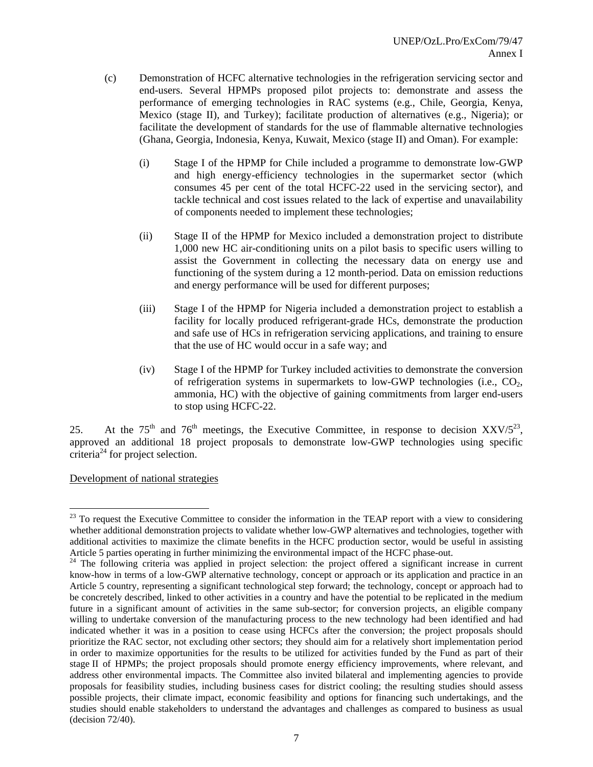- (c) Demonstration of HCFC alternative technologies in the refrigeration servicing sector and end-users. Several HPMPs proposed pilot projects to: demonstrate and assess the performance of emerging technologies in RAC systems (e.g., Chile, Georgia, Kenya, Mexico (stage II), and Turkey); facilitate production of alternatives (e.g., Nigeria); or facilitate the development of standards for the use of flammable alternative technologies (Ghana, Georgia, Indonesia, Kenya, Kuwait, Mexico (stage II) and Oman). For example:
	- (i) Stage I of the HPMP for Chile included a programme to demonstrate low-GWP and high energy-efficiency technologies in the supermarket sector (which consumes 45 per cent of the total HCFC-22 used in the servicing sector), and tackle technical and cost issues related to the lack of expertise and unavailability of components needed to implement these technologies;
	- (ii) Stage II of the HPMP for Mexico included a demonstration project to distribute 1,000 new HC air-conditioning units on a pilot basis to specific users willing to assist the Government in collecting the necessary data on energy use and functioning of the system during a 12 month-period. Data on emission reductions and energy performance will be used for different purposes;
	- (iii) Stage I of the HPMP for Nigeria included a demonstration project to establish a facility for locally produced refrigerant-grade HCs, demonstrate the production and safe use of HCs in refrigeration servicing applications, and training to ensure that the use of HC would occur in a safe way; and
	- (iv) Stage I of the HPMP for Turkey included activities to demonstrate the conversion of refrigeration systems in supermarkets to low-GWP technologies (i.e.,  $CO<sub>2</sub>$ , ammonia, HC) with the objective of gaining commitments from larger end-users to stop using HCFC-22.

25. At the 75<sup>th</sup> and 76<sup>th</sup> meetings, the Executive Committee, in response to decision  $XXV/5^{23}$ , approved an additional 18 project proposals to demonstrate low-GWP technologies using specific criteria<sup>24</sup> for project selection.

Development of national strategies

 $^{23}$  To request the Executive Committee to consider the information in the TEAP report with a view to considering whether additional demonstration projects to validate whether low-GWP alternatives and technologies, together with additional activities to maximize the climate benefits in the HCFC production sector, would be useful in assisting Article 5 parties operating in further minimizing the environmental impact of the HCFC phase-out.

<sup>&</sup>lt;sup>24</sup> The following criteria was applied in project selection: the project offered a significant increase in current know-how in terms of a low-GWP alternative technology, concept or approach or its application and practice in an Article 5 country, representing a significant technological step forward; the technology, concept or approach had to be concretely described, linked to other activities in a country and have the potential to be replicated in the medium future in a significant amount of activities in the same sub-sector; for conversion projects, an eligible company willing to undertake conversion of the manufacturing process to the new technology had been identified and had indicated whether it was in a position to cease using HCFCs after the conversion; the project proposals should prioritize the RAC sector, not excluding other sectors; they should aim for a relatively short implementation period in order to maximize opportunities for the results to be utilized for activities funded by the Fund as part of their stage II of HPMPs; the project proposals should promote energy efficiency improvements, where relevant, and address other environmental impacts. The Committee also invited bilateral and implementing agencies to provide proposals for feasibility studies, including business cases for district cooling; the resulting studies should assess possible projects, their climate impact, economic feasibility and options for financing such undertakings, and the studies should enable stakeholders to understand the advantages and challenges as compared to business as usual (decision 72/40).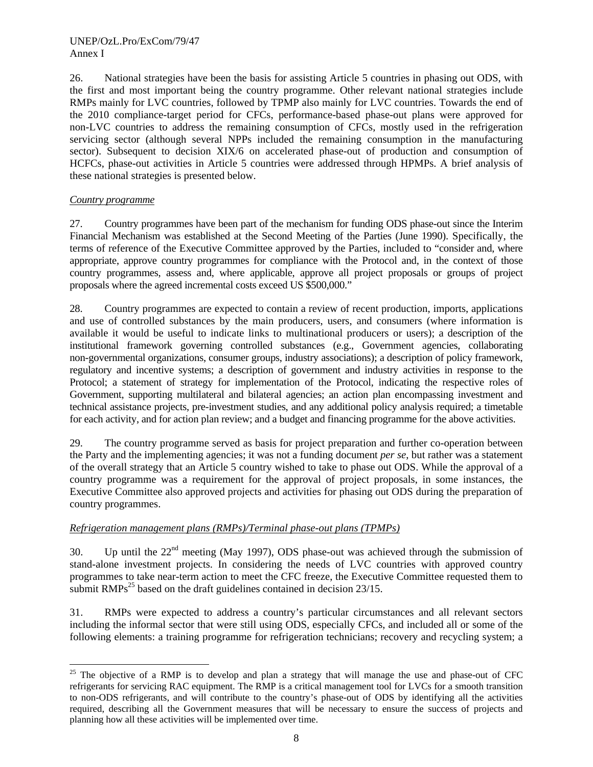26. National strategies have been the basis for assisting Article 5 countries in phasing out ODS, with the first and most important being the country programme. Other relevant national strategies include RMPs mainly for LVC countries, followed by TPMP also mainly for LVC countries. Towards the end of the 2010 compliance-target period for CFCs, performance-based phase-out plans were approved for non-LVC countries to address the remaining consumption of CFCs, mostly used in the refrigeration servicing sector (although several NPPs included the remaining consumption in the manufacturing sector). Subsequent to decision XIX/6 on accelerated phase-out of production and consumption of HCFCs, phase-out activities in Article 5 countries were addressed through HPMPs. A brief analysis of these national strategies is presented below.

### *Country programme*

27. Country programmes have been part of the mechanism for funding ODS phase-out since the Interim Financial Mechanism was established at the Second Meeting of the Parties (June 1990). Specifically, the terms of reference of the Executive Committee approved by the Parties, included to "consider and, where appropriate, approve country programmes for compliance with the Protocol and, in the context of those country programmes, assess and, where applicable, approve all project proposals or groups of project proposals where the agreed incremental costs exceed US \$500,000."

28. Country programmes are expected to contain a review of recent production, imports, applications and use of controlled substances by the main producers, users, and consumers (where information is available it would be useful to indicate links to multinational producers or users); a description of the institutional framework governing controlled substances (e.g., Government agencies, collaborating non-governmental organizations, consumer groups, industry associations); a description of policy framework, regulatory and incentive systems; a description of government and industry activities in response to the Protocol; a statement of strategy for implementation of the Protocol, indicating the respective roles of Government, supporting multilateral and bilateral agencies; an action plan encompassing investment and technical assistance projects, pre-investment studies, and any additional policy analysis required; a timetable for each activity, and for action plan review; and a budget and financing programme for the above activities.

29. The country programme served as basis for project preparation and further co-operation between the Party and the implementing agencies; it was not a funding document *per se*, but rather was a statement of the overall strategy that an Article 5 country wished to take to phase out ODS. While the approval of a country programme was a requirement for the approval of project proposals, in some instances, the Executive Committee also approved projects and activities for phasing out ODS during the preparation of country programmes.

## *Refrigeration management plans (RMPs)/Terminal phase-out plans (TPMPs)*

30. Up until the 22nd meeting (May 1997), ODS phase-out was achieved through the submission of stand-alone investment projects. In considering the needs of LVC countries with approved country programmes to take near-term action to meet the CFC freeze, the Executive Committee requested them to submit  $RMPs^{25}$  based on the draft guidelines contained in decision 23/15.

31. RMPs were expected to address a country's particular circumstances and all relevant sectors including the informal sector that were still using ODS, especially CFCs, and included all or some of the following elements: a training programme for refrigeration technicians; recovery and recycling system; a

l  $25$  The objective of a RMP is to develop and plan a strategy that will manage the use and phase-out of CFC refrigerants for servicing RAC equipment. The RMP is a critical management tool for LVCs for a smooth transition to non-ODS refrigerants, and will contribute to the country's phase-out of ODS by identifying all the activities required, describing all the Government measures that will be necessary to ensure the success of projects and planning how all these activities will be implemented over time.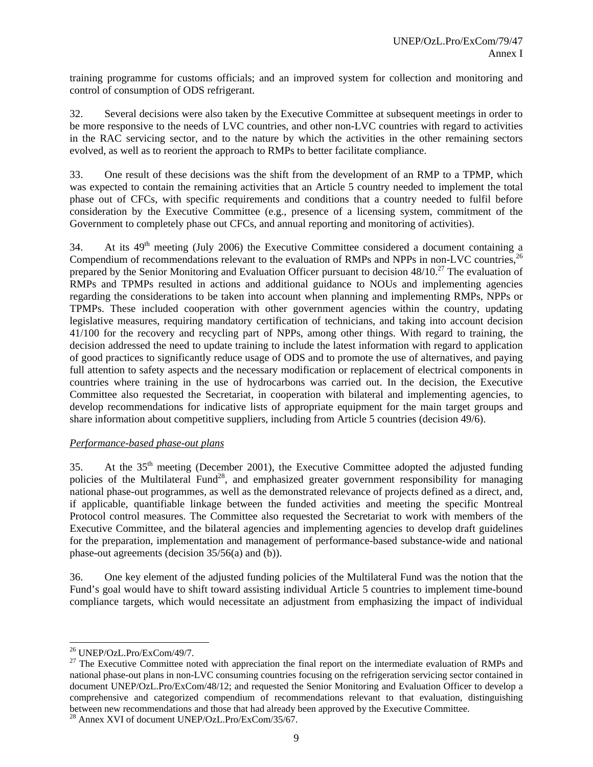training programme for customs officials; and an improved system for collection and monitoring and control of consumption of ODS refrigerant.

32. Several decisions were also taken by the Executive Committee at subsequent meetings in order to be more responsive to the needs of LVC countries, and other non-LVC countries with regard to activities in the RAC servicing sector, and to the nature by which the activities in the other remaining sectors evolved, as well as to reorient the approach to RMPs to better facilitate compliance.

33. One result of these decisions was the shift from the development of an RMP to a TPMP, which was expected to contain the remaining activities that an Article 5 country needed to implement the total phase out of CFCs, with specific requirements and conditions that a country needed to fulfil before consideration by the Executive Committee (e.g., presence of a licensing system, commitment of the Government to completely phase out CFCs, and annual reporting and monitoring of activities).

34. At its  $49<sup>th</sup>$  meeting (July 2006) the Executive Committee considered a document containing a Compendium of recommendations relevant to the evaluation of RMPs and NPPs in non-LVC countries.<sup>26</sup> prepared by the Senior Monitoring and Evaluation Officer pursuant to decision  $48/10^{27}$  The evaluation of RMPs and TPMPs resulted in actions and additional guidance to NOUs and implementing agencies regarding the considerations to be taken into account when planning and implementing RMPs, NPPs or TPMPs. These included cooperation with other government agencies within the country, updating legislative measures, requiring mandatory certification of technicians, and taking into account decision 41/100 for the recovery and recycling part of NPPs, among other things. With regard to training, the decision addressed the need to update training to include the latest information with regard to application of good practices to significantly reduce usage of ODS and to promote the use of alternatives, and paying full attention to safety aspects and the necessary modification or replacement of electrical components in countries where training in the use of hydrocarbons was carried out. In the decision, the Executive Committee also requested the Secretariat, in cooperation with bilateral and implementing agencies, to develop recommendations for indicative lists of appropriate equipment for the main target groups and share information about competitive suppliers, including from Article 5 countries (decision 49/6).

#### *Performance-based phase-out plans*

35. At the  $35<sup>th</sup>$  meeting (December 2001), the Executive Committee adopted the adjusted funding policies of the Multilateral Fund<sup>28</sup>, and emphasized greater government responsibility for managing national phase-out programmes, as well as the demonstrated relevance of projects defined as a direct, and, if applicable, quantifiable linkage between the funded activities and meeting the specific Montreal Protocol control measures. The Committee also requested the Secretariat to work with members of the Executive Committee, and the bilateral agencies and implementing agencies to develop draft guidelines for the preparation, implementation and management of performance-based substance-wide and national phase-out agreements (decision 35/56(a) and (b)).

36. One key element of the adjusted funding policies of the Multilateral Fund was the notion that the Fund's goal would have to shift toward assisting individual Article 5 countries to implement time-bound compliance targets, which would necessitate an adjustment from emphasizing the impact of individual

<sup>-</sup>26 UNEP/OzL.Pro/ExCom/49/7.

<sup>&</sup>lt;sup>27</sup> The Executive Committee noted with appreciation the final report on the intermediate evaluation of RMPs and national phase-out plans in non-LVC consuming countries focusing on the refrigeration servicing sector contained in document UNEP/OzL.Pro/ExCom/48/12; and requested the Senior Monitoring and Evaluation Officer to develop a comprehensive and categorized compendium of recommendations relevant to that evaluation, distinguishing between new recommendations and those that had already been approved by the Executive Committee. 28 Annex XVI of document UNEP/OzL.Pro/ExCom/35/67.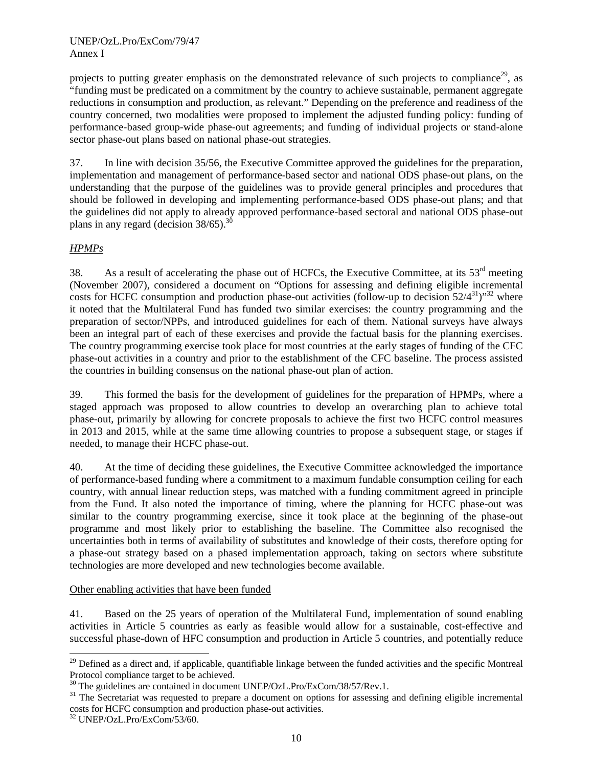projects to putting greater emphasis on the demonstrated relevance of such projects to compliance<sup>29</sup>, as "funding must be predicated on a commitment by the country to achieve sustainable, permanent aggregate reductions in consumption and production, as relevant." Depending on the preference and readiness of the country concerned, two modalities were proposed to implement the adjusted funding policy: funding of performance-based group-wide phase-out agreements; and funding of individual projects or stand-alone sector phase-out plans based on national phase-out strategies.

37. In line with decision 35/56, the Executive Committee approved the guidelines for the preparation, implementation and management of performance-based sector and national ODS phase-out plans, on the understanding that the purpose of the guidelines was to provide general principles and procedures that should be followed in developing and implementing performance-based ODS phase-out plans; and that the guidelines did not apply to already approved performance-based sectoral and national ODS phase-out plans in any regard (decision  $38/65$ ).<sup>30</sup>

## *HPMPs*

38. As a result of accelerating the phase out of HCFCs, the Executive Committee, at its  $53<sup>rd</sup>$  meeting (November 2007), considered a document on "Options for assessing and defining eligible incremental costs for HCFC consumption and production phase-out activities (follow-up to decision  $52/4^{31}$ )"<sup>32</sup> where it noted that the Multilateral Fund has funded two similar exercises: the country programming and the preparation of sector/NPPs, and introduced guidelines for each of them. National surveys have always been an integral part of each of these exercises and provide the factual basis for the planning exercises. The country programming exercise took place for most countries at the early stages of funding of the CFC phase-out activities in a country and prior to the establishment of the CFC baseline. The process assisted the countries in building consensus on the national phase-out plan of action.

39. This formed the basis for the development of guidelines for the preparation of HPMPs, where a staged approach was proposed to allow countries to develop an overarching plan to achieve total phase-out, primarily by allowing for concrete proposals to achieve the first two HCFC control measures in 2013 and 2015, while at the same time allowing countries to propose a subsequent stage, or stages if needed, to manage their HCFC phase-out.

40. At the time of deciding these guidelines, the Executive Committee acknowledged the importance of performance-based funding where a commitment to a maximum fundable consumption ceiling for each country, with annual linear reduction steps, was matched with a funding commitment agreed in principle from the Fund. It also noted the importance of timing, where the planning for HCFC phase-out was similar to the country programming exercise, since it took place at the beginning of the phase-out programme and most likely prior to establishing the baseline. The Committee also recognised the uncertainties both in terms of availability of substitutes and knowledge of their costs, therefore opting for a phase-out strategy based on a phased implementation approach, taking on sectors where substitute technologies are more developed and new technologies become available.

## Other enabling activities that have been funded

41. Based on the 25 years of operation of the Multilateral Fund, implementation of sound enabling activities in Article 5 countries as early as feasible would allow for a sustainable, cost-effective and successful phase-down of HFC consumption and production in Article 5 countries, and potentially reduce

<sup>&</sup>lt;sup>29</sup> Defined as a direct and, if applicable, quantifiable linkage between the funded activities and the specific Montreal Protocol compliance target to be achieved.

<sup>&</sup>lt;sup>30</sup> The guidelines are contained in document UNEP/OzL.Pro/ExCom/38/57/Rev.1.

<sup>&</sup>lt;sup>31</sup> The Secretariat was requested to prepare a document on options for assessing and defining eligible incremental costs for HCFC consumption and production phase-out activities.

<sup>32</sup> UNEP/OzL.Pro/ExCom/53/60.